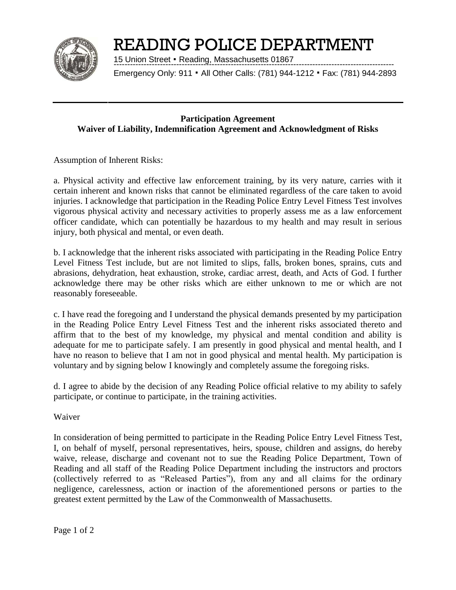

# READING POLICE DEPARTMENT

15 Union Street **.** Reading, Massachusetts 01867 -------------------------------------------------------------------------------------------------------

Emergency Only: 911 **.** All Other Calls: (781) 944-1212 **.** Fax: (781) 944-2893

## **Participation Agreement Waiver of Liability, Indemnification Agreement and Acknowledgment of Risks**

Assumption of Inherent Risks:

a. Physical activity and effective law enforcement training, by its very nature, carries with it certain inherent and known risks that cannot be eliminated regardless of the care taken to avoid injuries. I acknowledge that participation in the Reading Police Entry Level Fitness Test involves vigorous physical activity and necessary activities to properly assess me as a law enforcement officer candidate, which can potentially be hazardous to my health and may result in serious injury, both physical and mental, or even death.

b. I acknowledge that the inherent risks associated with participating in the Reading Police Entry Level Fitness Test include, but are not limited to slips, falls, broken bones, sprains, cuts and abrasions, dehydration, heat exhaustion, stroke, cardiac arrest, death, and Acts of God. I further acknowledge there may be other risks which are either unknown to me or which are not reasonably foreseeable.

c. I have read the foregoing and I understand the physical demands presented by my participation in the Reading Police Entry Level Fitness Test and the inherent risks associated thereto and affirm that to the best of my knowledge, my physical and mental condition and ability is adequate for me to participate safely. I am presently in good physical and mental health, and I have no reason to believe that I am not in good physical and mental health. My participation is voluntary and by signing below I knowingly and completely assume the foregoing risks.

d. I agree to abide by the decision of any Reading Police official relative to my ability to safely participate, or continue to participate, in the training activities.

Waiver

In consideration of being permitted to participate in the Reading Police Entry Level Fitness Test, I, on behalf of myself, personal representatives, heirs, spouse, children and assigns, do hereby waive, release, discharge and covenant not to sue the Reading Police Department, Town of Reading and all staff of the Reading Police Department including the instructors and proctors (collectively referred to as "Released Parties"), from any and all claims for the ordinary negligence, carelessness, action or inaction of the aforementioned persons or parties to the greatest extent permitted by the Law of the Commonwealth of Massachusetts.

Page 1 of 2